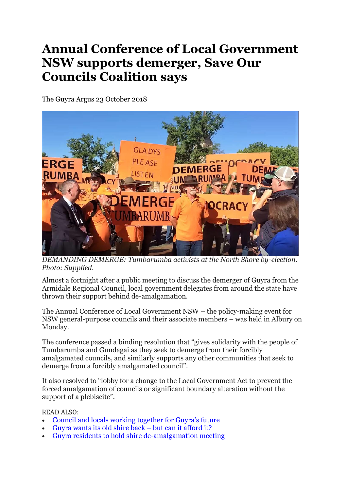## **Annual Conference of Local Government NSW supports demerger, Save Our Councils Coalition says**

The Guyra Argus 23 October 2018



*DEMANDING DEMERGE: Tumbarumba activists at the North Shore by-election. Photo: Supplied.*

Almost a fortnight after a public meeting to discuss the demerger of Guyra from the Armidale Regional Council, local government delegates from around the state have thrown their support behind de-amalgamation.

The Annual Conference of Local Government NSW – the policy-making event for NSW general-purpose councils and their associate members – was held in Albury on Monday.

The conference passed a binding resolution that "gives solidarity with the people of Tumbarumba and Gundagai as they seek to demerge from their forcibly amalgamated councils, and similarly supports any other communities that seek to demerge from a forcibly amalgamated council".

It also resolved to "lobby for a change to the Local Government Act to prevent the forced amalgamation of councils or significant boundary alteration without the support of a plebiscite".

READ ALSO:

- Council and locals working [together](https://www.guyraargus.com.au/story/5708176/council-and-locals-working-together-for-guyras-future/) for Guyra's future
- [Guyra](https://www.guyraargus.com.au/story/5699712/stand-in-the-place-where-you-live-pollies-out-polis-back-say-guyra-residents/) wants its old shire back but can it afford it?
- Guyra residents to hold shire [de-amalgamation](https://www.guyraargus.com.au/story/5685127/guyra-residents-to-hold-shire-demalgamation-meeting/) meeting